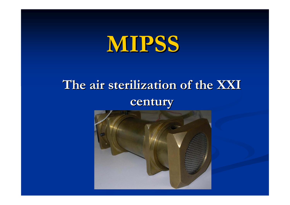# **MIPSS**

## **The air sterilization of the XXI century century**

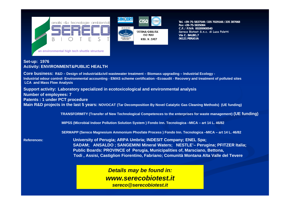



SISTEMA QUALITA' 150,9001 RBG. N.3957

**Tel. +39-75-5837549 /335 7029166 /335 387068Fax +39-75-5835084C.F. / P.IVA 00289900540 Sereco Biotest S.n.c. di Luca Poletti Via C. BALBO,7 06121 PERUGIA**

#### **Set-up: 1976 Activity: ENVIRONMENT&PUBLIC HEALTH**

Core business: R&D – Design of industrial&civil wastewater treatment – Biomass upgrading – Industrial Ecology -Industrial odour control- Environmental accounting - EMAS scheme certification -Ecoaudit - Recovery and treatment of polluted sites **LCA and Mass Flow Analysis Support activity: Laboratory specialized in ecotoxicological and environmental analysis Number of employees: 7 Patents : 1 under PCT procedure Main R&D projects in the last 5 years: NOVOCAT (Tar Decomposition By Novel Catalytic Gas Cleaning Methods) (UE funding) TRANSFORMITY (Transfer of New Technological Competences to the enterprises for waste management) (UE funding) MIPSS (Microbial Indoor Pollution Solution System ) Fondo Inn. Tecnologica –MICA – art 14 L. 46/82 SERMAPP (Sereco Magnesium Ammonium Phosfate Process ) Fondo Inn. Tecnologica –MICA – art 14 L. 46/82 References: University of Perugia; ARPA Umbria; INDESIT Company; ENEL Spa; SADAM; ANSALDO ; SANGEMINI Mineral Waters; NESTLE'– Perugina; PFITZER Italia; Public Boards: PROVINCE of Perugia, Municipalities of, Marsciano, Bettona, Todi , Assisi, Castiglion Fiorentino, Fabriano; Comunità Montana Alta Valle del Tevere** 

> *Details may be found in: www.serecobiotest.itsereco@serecobiotest.it*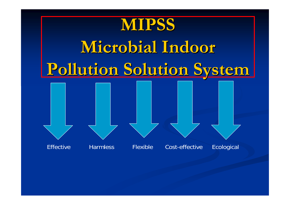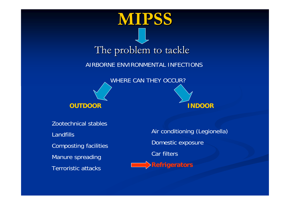





Zootechnical stablesLandfillsComposting facilities Manure spreading Terroristic attacks

Air conditioning (Legionella) Domestic exposure Car filters **Refrigerators**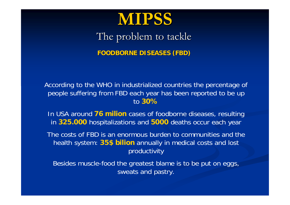

The problem to tackle

**FOODBORNE DISEASES (FBD) FOODBORNE DISEASES (FBD)**

According to the WHO in industrialized countries the percentage of people suffering from FBD each year has been reported to be up to **30%**

In USA around **76 milion** cases of foodborne diseases, resulting in **325.000** hospitalizations and **5000** deaths occur each year

The costs of FBD is an enormous burden to communities and the health system: **35\$ bilion** annually in medical costs and lost productivity

Besides muscle-food the greatest blame is to be put on eggs, sweats and pastry.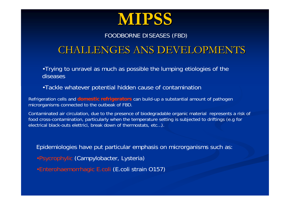

#### FOODBORNE DISEASES (FBD)

### CHALLENGES ANS DEVELOPMENTS CHALLENGES ANS DEVELOPMENTS

•Trying to unravel as much as possible the lumping etiologies of the diseases

•Tackle whatever potential hidden cause of contamination

Refrigeration cells and **domestic refrigerators** can build-up a substantial amount of pathogen microrganisms connected to the outbeak of FBD.

Contaminated air circulation, due to the presence of biodegradable organic material represents a risk of food cross-contamination, particularly when the temperature setting is subjected to driftings (e.g for electrical black-outs elettrici, break down of thermostats, etc…).

Epidemiologies have put particular emphasis on microrganisms such as:

- •Psycrophylic (Campylobacter, Lysteria)
- •Enterohaemorrhagic E.coli (E.coli strain O157)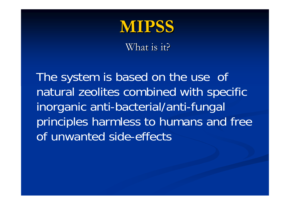

What is it?

The system is based on the use of natural zeolites combined with specific inorganic anti-bacterial/anti-fungal principles harmless to humans and free of unwanted side-effects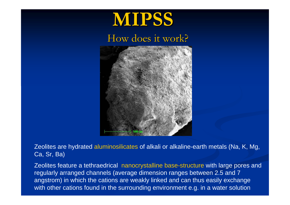# **MIPSS**

### How does it work?



Zeolites are hydrated aluminosilicates of alkali or alkaline-earth metals (Na, K, Mg, Ca, Sr, Ba)

Zeolites feature a tethraedrical nanocrystalline base-structure with large pores and regularly arranged channels (average dimension ranges between 2.5 and 7 angstrom) in which the cations are weakly linked and can thus easily exchange with other cations found in the surrounding environment e.g. in a water solution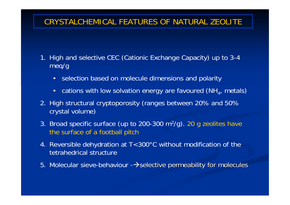#### CRYSTALCHEMICAL FEATURES OF NATURAL ZEOLITE

- 1. High and selective CEC (Cationic Exchange Capacity) up to 3-4 meq/g
	- selection based on molecule dimensions and polarity
	- •cations with low solvation energy are favoured (NH $_{\rm 4}$ , metals)
- 2. High structural cryptoporosity (ranges between 20% and 50% crystal volume)
- 3. Broad specific surface (up to 200-300 m 2/g). 20 g zeolites have the surface of a football pitch
- 4. Reversible dehydration at T<300°C without modification of the tetrahedrical structure
- 5. Molecular sieve-behaviour - $\rightarrow$ selective permeability for molecules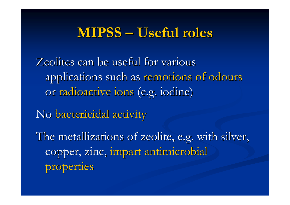### **MIPSS – Useful roles**

Zeolites can be useful for various applications such as remotions of odours or radioactive ions (e.g. iodine)

No bactericidal activity

The metallizations of zeolite, e.g. with silver, copper, zinc, impart antimicrobial properties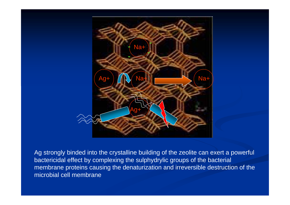

Ag strongly binded into the crystalline building of the zeolite can exert a powerful bactericidal effect by complexing the sulphydrylic groups of the bacterial membrane proteins causing the denaturization and irreversible destruction of the microbial cell membrane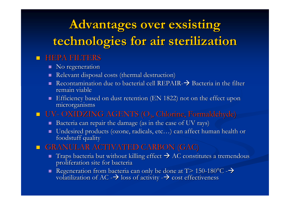## **Advantages Advantages over exsisting exsisting technologies technologies for air sterilization sterilization**

#### **HEPA FILTERS**

- $\blacksquare$  No regeneration
- $\blacksquare$  Relevant disposal costs (thermal destruction)
- Recontamination due to bacterial cell REPAIR- $\rightarrow$  Bacteria in the filter remain viable
- $\blacksquare$  Efficiency based on dust retention (EN 1822) not on the effect upon microrganisms microrganisms
- UV -- OXIDZING AGENTS (O<sub>3</sub>, Chlorine, Formaldehyde)
	- $\textcolor{red}{\blacksquare}$  Bacteria can repair the damage (as in the case of UV rays)
	- $\blacksquare$  Undesired products (ozone, radicals, etc...) can affect human health or foodstuff quality
- $\blacksquare$  **GRANULAR ACTIVATED CARBON (GAC)** 
	- $\blacksquare$  Traps bacteria but without killing effect  $\blacktriangleright$  AC constitutes a tremendous proliferation site for bacteria
	- Regeneration from bacteria can only be done at T> 150-180°C - $\rightarrow$ volatilization of AC - $\rightarrow$  loss of activity  $\rightarrow$  cost effectiveness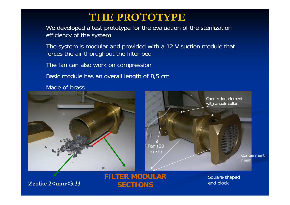### **THE PROTOTYPE**

We developed a test prototype for the evaluation of the sterilization efficiency of the system

The system is modular and provided with a 12 V suction module that forces the air thorughout the filter bed

The fan can also work on compression

Basic module has an overall length of 8,5 cm

Made of brass



**Zeolite 2<mm<3.33**

**FILTER MODULAR SECTIONS**

Square-shaped end block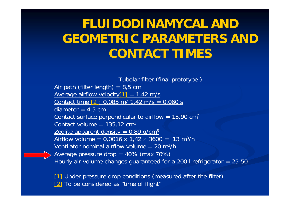### **FLUIDODINAMYCAL AND GEOMETRIC PARAMETERS AND CONTACT TIMES**

Tubolar filter (final prototype ) Air path (filter length) =  $8,5$  cm Average airflow velocity  $[1] = 1,42$  m/s Contact time  $[2]$ : 0,085 m/ 1,42 m/s = 0,060 s diameter  $= 4.5$  cm Contact surface perpendicular to airflow = 15,90  $\textsf{cm}^{\textsf{2}}$ Contact volume = 135,12 cm $^3$ <u>Zeolite apparent density = 0,89 g/cm3</u> Airflow volume = 0,0016  $\times$  1,42  $\times$  3600 =  $\,$  13 m $^3$ /h  $\,$ Ventilator nominal airflow volume = 20 m3/hAverage pressure drop = 40% (max 70%) Hourly air volume changes guaranteed for a 200 l refrigerator = 25-50

[1] Under pressure drop conditions (measured after the filter) [2] To be considered as "time of flight"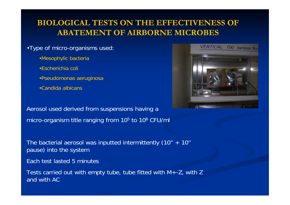#### **BIOLOGICAL TESTS ON THE EFFECTIVENESS OF ABATEMENT OF AIRBORNE MICROBES**

#### •Type of micro-organisms used:

- •Mesophylic bacteria
- •Escherichia coli
- •Pseudomonas aeruginosa
- •Candida albicans

Aerosol used derived from suspensions having <sup>a</sup> micro-organism title ranging from 105 to 108 CFU/ml

The bacterial aerosol was inputted intermittently (10'' + 10'' pause) into the system

Each test lasted 5 minutes

Tests carried out with empty tube, tube fitted with M+-Z, with Z and with AC

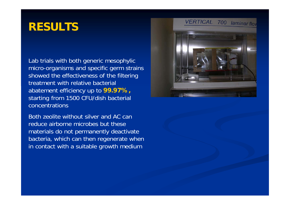### **RESULTS**

Lab trials with both generic mesophylic micro-organisms and specific germ strains showed the effectiveness of the filtering treatment with relative bacterial abatement efficiency up to **99.97%,** starting from 1500 CFU/dish bacterial concentrations

Both zeolite without silver and AC can reduce airborne microbes but thesematerials do not permanently deactivate bacteria, which can then regenerate when in contact with a suitable growth medium

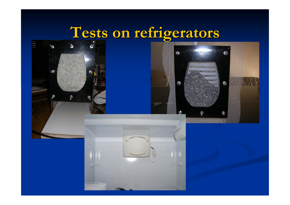## **Tests on refrigerators refrigerators**



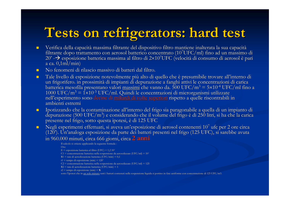## **Tests on refrigerators refrigerators: hard test : hard test**

- $\blacksquare$ Verifica della capacità massima filtrante del dispositivo filtro mantiene inalterata la sua capacità filtrante dopo trattamento con aerosol batterico concentrato (10<sup>7</sup>UFC/ml) fino ad un massimo di 20' - $\rightarrow$  esposizione batterica massima al filtro di 2×10<sup>7</sup>UFC (velocità di consumo di aerosol è pari a ca.  $0.1$ ml/min)
- $\blacksquare$  $\blacksquare$  No fenomeni di rilascio massivo di batteri dal filtro.
- u.  $\blacksquare$  Tale livello di esposizione notevolmente più alto di quello che è presumibile trovare all'interno di un frigorifero. in prossimità di impianti di depurazione a fanghi attivi le concentrazioni di carica batterica mesofila presentano valori <u>massimi</u> che vanno da. 500 UFC/m $^3$  = 5×10<sup>-4</sup> UFC/ml fino a 1000 UFC/m<sup>3</sup> = 1×10<sup>-3</sup> UFC/ml. Quindi le concentrazioni di microrganismi utilizzate<br>nell'esperimento sono <mark>decine di <u>miliardi di volte</u> superiori</mark> rispetto a quelle riscontrabili in ambienti estremi
- $\blacksquare$ Ipotizzando che la contaminazione all'interno del frigo sia paragonabile a quella di un impianto di depurazione (500 UFC/m<sup>3</sup>) e considerando che il volume del frigo è di 250 litri, si ha che la carica presente nel frigo, sotto questa ipotesi, è di 125 UFC
- $\blacksquare$ Negli esperimenti effettuati, si aveva un'esposizione di aerosol contenenti 10<sup>7</sup> ufc per 2 ore circa (120'). Un'analoga esposizione da parte dei batteri presenti nel frigo (125 UFC), si sarebbe avuta in 960.000 minuti, circa 666 giorni, circa 2 anni

- C1 = concentrazione batterica nella sospensione da aerosolizzare (UFC/ml) = 107
- $R1$  = rate di aersolizzazione batterica (UFC/min) = 0,1
- $t1$  = tempo di esposizione (min) = 120'
- C2 = concentrazione batterica nella sospensione da aerosolizzare (UFC/ml) = 125
- $R2$  = rate di aersolizzazione batterica (UFC/min) = 1
- t2 = tempo di esposizione (min) = **X**
- sotto l'ipotesi che in <u>un solo minuto</u> tutti i batteri contenuti nella sospensione liquida si portino in fase aeriforme con concentrazione di 125 UFC/m3.

Il calcolo si ottiene applicando la seguente formula :

Ove

 $E =$  esposizione batterica al filtro (UFC) = 1,2 10<sup>7</sup>